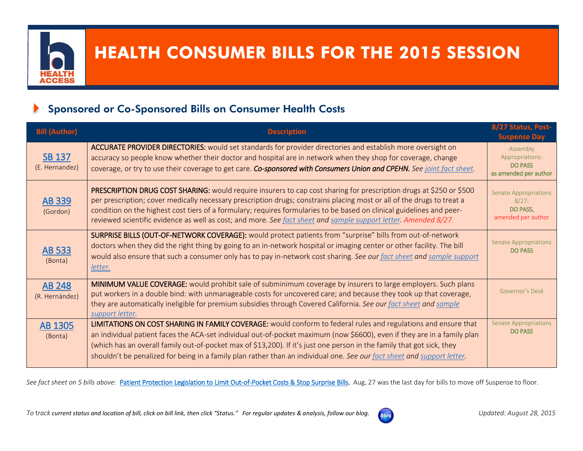

# HEALTH CONSUMER BILLS FOR THE 2015 SESSION

## Sponsored or Co-Sponsored Bills on Consumer Health Costs

| <b>Bill (Author)</b>            | Description                                                                                                                                                                                                                                                                                                                                                                                                                                                                                     | 8/27 Status, Post-<br><b>Suspense Day</b>                               |
|---------------------------------|-------------------------------------------------------------------------------------------------------------------------------------------------------------------------------------------------------------------------------------------------------------------------------------------------------------------------------------------------------------------------------------------------------------------------------------------------------------------------------------------------|-------------------------------------------------------------------------|
| <b>SB 137</b><br>(E. Hernandez) | ACCURATE PROVIDER DIRECTORIES: would set standards for provider directories and establish more oversight on<br>accuracy so people know whether their doctor and hospital are in network when they shop for coverage, change<br>coverage, or try to use their coverage to get care. Co-sponsored with Consumers Union and CPEHN. See joint fact sheet.                                                                                                                                           | Assembly<br>Appropriations:<br><b>DO PASS</b><br>as amended per author  |
| AB 339<br>(Gordon)              | PRESCRIPTION DRUG COST SHARING: would require insurers to cap cost sharing for prescription drugs at \$250 or \$500<br>per prescription; cover medically necessary prescription drugs; constrains placing most or all of the drugs to treat a<br>condition on the highest cost tiers of a formulary; requires formularies to be based on clinical guidelines and peer-<br>reviewed scientific evidence as well as cost; and more. See fact sheet and sample support letter. Amended 8/27.       | <b>Senate Appropriations</b><br>8/27:<br>DO PASS,<br>amended per author |
| <b>AB 533</b><br>(Bonta)        | SURPRISE BILLS (OUT-OF-NETWORK COVERAGE): would protect patients from "surprise" bills from out-of-network<br>doctors when they did the right thing by going to an in-network hospital or imaging center or other facility. The bill<br>would also ensure that such a consumer only has to pay in-network cost sharing. See our fact sheet and sample support<br>letter.                                                                                                                        | <b>Senate Appropriations</b><br><b>DO PASS</b>                          |
| <b>AB 248</b><br>(R. Hernández) | MINIMUM VALUE COVERAGE: would prohibit sale of subminimum coverage by insurers to large employers. Such plans<br>put workers in a double bind: with unmanageable costs for uncovered care; and because they took up that coverage,<br>they are automatically ineligible for premium subsidies through Covered California. See our fact sheet and sample<br>support letter.                                                                                                                      | Governor's Desk                                                         |
| <b>AB 1305</b><br>(Bonta)       | LIMITATIONS ON COST SHARING IN FAMILY COVERAGE: would conform to federal rules and regulations and ensure that<br>an individual patient faces the ACA-set individual out-of-pocket maximum (now \$6600), even if they are in a family plan<br>(which has an overall family out-of-pocket max of \$13,200). If it's just one person in the family that got sick, they<br>shouldn't be penalized for being in a family plan rather than an individual one. See our fact sheet and support letter. | <b>Senate Appropriations</b><br><b>DO PASS</b>                          |

See fact sheet on 5 bills above: [Patient Protection Legislation to Limit Out-of-Pocket Costs & Stop Surprise Bills.](http://www.health-access.org/images/pdfs/PreventingUnfairCostSharingBillsOverview7-22-15.pdf) Aug. 27 was the last day for bills to move off Suspense to floor.

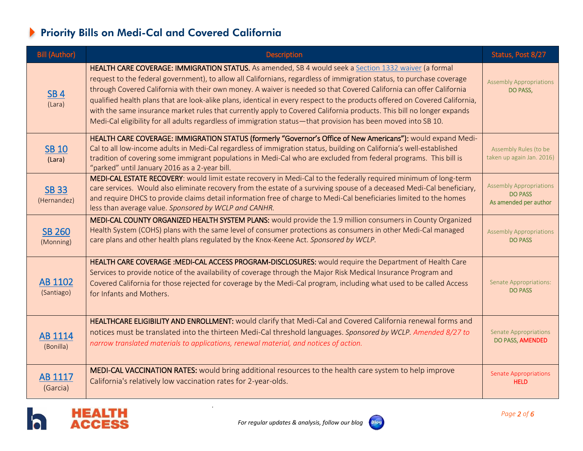# Priority Bills on Medi-Cal and Covered California

| <b>Bill (Author)</b>        | <b>Description</b>                                                                                                                                                                                                                                                                                                                                                                                                                                                                                                                                                                                                                                                                                                              | Status, Post 8/27                                                         |
|-----------------------------|---------------------------------------------------------------------------------------------------------------------------------------------------------------------------------------------------------------------------------------------------------------------------------------------------------------------------------------------------------------------------------------------------------------------------------------------------------------------------------------------------------------------------------------------------------------------------------------------------------------------------------------------------------------------------------------------------------------------------------|---------------------------------------------------------------------------|
| SB <sub>4</sub><br>(Lara)   | HEALTH CARE COVERAGE: IMMIGRATION STATUS. As amended, SB 4 would seek a Section 1332 waiver (a formal<br>request to the federal government), to allow all Californians, regardless of immigration status, to purchase coverage<br>through Covered California with their own money. A waiver is needed so that Covered California can offer California<br>qualified health plans that are look-alike plans, identical in every respect to the products offered on Covered California,<br>with the same insurance market rules that currently apply to Covered California products. This bill no longer expands<br>Medi-Cal eligibility for all adults regardless of immigration status—that provision has been moved into SB 10. | <b>Assembly Appropriations</b><br>DO PASS,                                |
| <b>SB 10</b><br>(Lara)      | HEALTH CARE COVERAGE: IMMIGRATION STATUS (formerly "Governor's Office of New Americans"): would expand Medi-<br>Cal to all low-income adults in Medi-Cal regardless of immigration status, building on California's well-established<br>tradition of covering some immigrant populations in Medi-Cal who are excluded from federal programs. This bill is<br>"parked" until January 2016 as a 2-year bill.                                                                                                                                                                                                                                                                                                                      | Assembly Rules (to be<br>taken up again Jan. 2016)                        |
| <b>SB 33</b><br>(Hernandez) | MEDI-CAL ESTATE RECOVERY: would limit estate recovery in Medi-Cal to the federally required minimum of long-term<br>care services. Would also eliminate recovery from the estate of a surviving spouse of a deceased Medi-Cal beneficiary,<br>and require DHCS to provide claims detail information free of charge to Medi-Cal beneficiaries limited to the homes<br>less than average value. Sponsored by WCLP and CANHR.                                                                                                                                                                                                                                                                                                      | <b>Assembly Appropriations</b><br><b>DO PASS</b><br>As amended per author |
| <b>SB 260</b><br>(Monning)  | MEDI-CAL COUNTY ORGANIZED HEALTH SYSTEM PLANS: would provide the 1.9 million consumers in County Organized<br>Health System (COHS) plans with the same level of consumer protections as consumers in other Medi-Cal managed<br>care plans and other health plans regulated by the Knox-Keene Act. Sponsored by WCLP.                                                                                                                                                                                                                                                                                                                                                                                                            | <b>Assembly Appropriations</b><br><b>DO PASS</b>                          |
| AB 1102<br>(Santiago)       | HEALTH CARE COVERAGE : MEDI-CAL ACCESS PROGRAM-DISCLOSURES: would require the Department of Health Care<br>Services to provide notice of the availability of coverage through the Major Risk Medical Insurance Program and<br>Covered California for those rejected for coverage by the Medi-Cal program, including what used to be called Access<br>for Infants and Mothers.                                                                                                                                                                                                                                                                                                                                                   | <b>Senate Appropriations:</b><br><b>DO PASS</b>                           |
| AB 1114<br>(Bonilla)        | HEALTHCARE ELIGIBILITY AND ENROLLMENT: would clarify that Medi-Cal and Covered California renewal forms and<br>notices must be translated into the thirteen Medi-Cal threshold languages. Sponsored by WCLP. Amended 8/27 to<br>narrow translated materials to applications, renewal material, and notices of action.                                                                                                                                                                                                                                                                                                                                                                                                           | <b>Senate Appropriations</b><br>DO PASS, AMENDED                          |
| AB 1117<br>(Garcia)         | MEDI-CAL VACCINATION RATES: would bring additional resources to the health care system to help improve<br>California's relatively low vaccination rates for 2-year-olds.                                                                                                                                                                                                                                                                                                                                                                                                                                                                                                                                                        | <b>Senate Appropriations</b><br><b>HELD</b>                               |

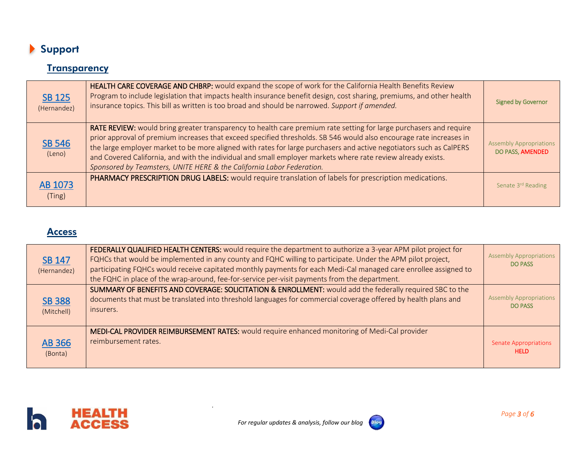

### **Transparency**

| <b>SB 125</b><br>(Hernandez) | HEALTH CARE COVERAGE AND CHBRP: would expand the scope of work for the California Health Benefits Review<br>Program to include legislation that impacts health insurance benefit design, cost sharing, premiums, and other health<br>insurance topics. This bill as written is too broad and should be narrowed. Support if amended.                                                                                                                                                                                                                      | <b>Signed by Governor</b>                          |
|------------------------------|-----------------------------------------------------------------------------------------------------------------------------------------------------------------------------------------------------------------------------------------------------------------------------------------------------------------------------------------------------------------------------------------------------------------------------------------------------------------------------------------------------------------------------------------------------------|----------------------------------------------------|
| <b>SB 546</b><br>(Leno)      | RATE REVIEW: would bring greater transparency to health care premium rate setting for large purchasers and require<br>prior approval of premium increases that exceed specified thresholds. SB 546 would also encourage rate increases in<br>the large employer market to be more aligned with rates for large purchasers and active negotiators such as CalPERS<br>and Covered California, and with the individual and small employer markets where rate review already exists.<br>Sponsored by Teamsters, UNITE HERE & the California Labor Federation. | <b>Assembly Appropriations</b><br>DO PASS, AMENDED |
| AB 1073<br>(Ting)            | PHARMACY PRESCRIPTION DRUG LABELS: would require translation of labels for prescription medications.                                                                                                                                                                                                                                                                                                                                                                                                                                                      | Senate 3rd Reading                                 |

#### **Access**

| <b>SB 147</b><br>(Hernandez) | FEDERALLY QUALIFIED HEALTH CENTERS: would require the department to authorize a 3-year APM pilot project for<br>FQHCs that would be implemented in any county and FQHC willing to participate. Under the APM pilot project,<br>participating FQHCs would receive capitated monthly payments for each Medi-Cal managed care enrollee assigned to<br>the FQHC in place of the wrap-around, fee-for-service per-visit payments from the department. | <b>Assembly Appropriations</b><br><b>DO PASS</b> |
|------------------------------|--------------------------------------------------------------------------------------------------------------------------------------------------------------------------------------------------------------------------------------------------------------------------------------------------------------------------------------------------------------------------------------------------------------------------------------------------|--------------------------------------------------|
| <b>SB 388</b><br>(Mitchell)  | SUMMARY OF BENEFITS AND COVERAGE: SOLICITATION & ENROLLMENT: would add the federally required SBC to the<br>documents that must be translated into threshold languages for commercial coverage offered by health plans and<br>insurers.                                                                                                                                                                                                          | <b>Assembly Appropriations</b><br><b>DO PASS</b> |
| <b>AB 366</b><br>(Bonta)     | MEDI-CAL PROVIDER REIMBURSEMENT RATES: would require enhanced monitoring of Medi-Cal provider<br>reimbursement rates.                                                                                                                                                                                                                                                                                                                            | <b>Senate Appropriations</b><br><b>HELD</b>      |



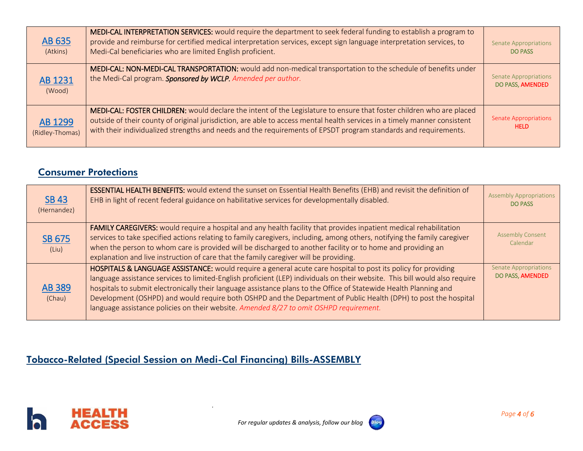| AB 635<br>(Atkins)         | MEDI-CAL INTERPRETATION SERVICES: would require the department to seek federal funding to establish a program to<br>provide and reimburse for certified medical interpretation services, except sign language interpretation services, to<br>Medi-Cal beneficiaries who are limited English proficient.                                                              | <b>Senate Appropriations</b><br><b>DO PASS</b>   |
|----------------------------|----------------------------------------------------------------------------------------------------------------------------------------------------------------------------------------------------------------------------------------------------------------------------------------------------------------------------------------------------------------------|--------------------------------------------------|
| AB 1231<br>(Wood)          | MEDI-CAL: NON-MEDI-CAL TRANSPORTATION: would add non-medical transportation to the schedule of benefits under<br>the Medi-Cal program. Sponsored by WCLP. Amended per author.                                                                                                                                                                                        | <b>Senate Appropriations</b><br>DO PASS, AMENDED |
| AB 1299<br>(Ridley-Thomas) | MEDI-CAL: FOSTER CHILDREN: would declare the intent of the Legislature to ensure that foster children who are placed<br>outside of their county of original jurisdiction, are able to access mental health services in a timely manner consistent<br>with their individualized strengths and needs and the requirements of EPSDT program standards and requirements. | <b>Senate Appropriations</b><br><b>HELD</b>      |

## Consumer Protections

| <b>SB 43</b><br>(Hernandez) | <b>ESSENTIAL HEALTH BENEFITS:</b> would extend the sunset on Essential Health Benefits (EHB) and revisit the definition of<br>EHB in light of recent federal guidance on habilitative services for developmentally disabled.                                                                                                                                                                                                                                                                                                                                                   | <b>Assembly Appropriations</b><br><b>DO PASS</b> |
|-----------------------------|--------------------------------------------------------------------------------------------------------------------------------------------------------------------------------------------------------------------------------------------------------------------------------------------------------------------------------------------------------------------------------------------------------------------------------------------------------------------------------------------------------------------------------------------------------------------------------|--------------------------------------------------|
| SB 675<br>(Liu)             | FAMILY CAREGIVERS: would require a hospital and any health facility that provides inpatient medical rehabilitation<br>services to take specified actions relating to family caregivers, including, among others, notifying the family caregiver<br>when the person to whom care is provided will be discharged to another facility or to home and providing an<br>explanation and live instruction of care that the family caregiver will be providing.                                                                                                                        | <b>Assembly Consent</b><br>Calendar              |
| <b>AB 389</b><br>(Chau)     | HOSPITALS & LANGUAGE ASSISTANCE: would require a general acute care hospital to post its policy for providing<br>language assistance services to limited-English proficient (LEP) individuals on their website. This bill would also require<br>hospitals to submit electronically their language assistance plans to the Office of Statewide Health Planning and<br>Development (OSHPD) and would require both OSHPD and the Department of Public Health (DPH) to post the hospital<br>language assistance policies on their website. Amended 8/27 to omit OSHPD requirement. | <b>Senate Appropriations</b><br>DO PASS, AMENDED |

## Tobacco-Related (Special Session on Medi-Cal Financing) Bills-ASSEMBLY



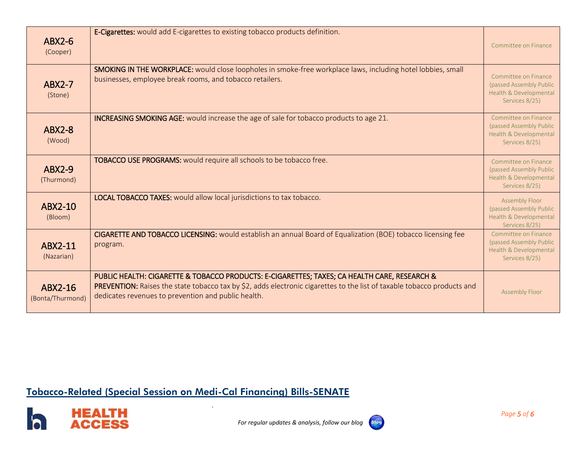| $ABX2-6$<br>(Cooper)        | E-Cigarettes: would add E-cigarettes to existing tobacco products definition.                                                                                                                                                                                                  | Committee on Finance                                                                         |
|-----------------------------|--------------------------------------------------------------------------------------------------------------------------------------------------------------------------------------------------------------------------------------------------------------------------------|----------------------------------------------------------------------------------------------|
| $ABX2-7$<br>(Stone)         | <b>SMOKING IN THE WORKPLACE:</b> would close loopholes in smoke-free workplace laws, including hotel lobbies, small<br>businesses, employee break rooms, and tobacco retailers.                                                                                                | Committee on Finance<br>(passed Assembly Public<br>Health & Developmental<br>Services 8/25)  |
| <b>ABX2-8</b><br>(Wood)     | <b>INCREASING SMOKING AGE:</b> would increase the age of sale for tobacco products to age 21.                                                                                                                                                                                  | Committee on Finance<br>(passed Assembly Public<br>Health & Developmental<br>Services 8/25)  |
| <b>ABX2-9</b><br>(Thurmond) | <b>TOBACCO USE PROGRAMS:</b> would require all schools to be tobacco free.                                                                                                                                                                                                     | Committee on Finance<br>(passed Assembly Public<br>Health & Developmental<br>Services 8/25)  |
| ABX2-10<br>(Bloom)          | <b>LOCAL TOBACCO TAXES:</b> would allow local jurisdictions to tax tobacco.                                                                                                                                                                                                    | <b>Assembly Floor</b><br>(passed Assembly Public<br>Health & Developmental<br>Services 8/25) |
| ABX2-11<br>(Nazarian)       | CIGARETTE AND TOBACCO LICENSING: would establish an annual Board of Equalization (BOE) tobacco licensing fee<br>program.                                                                                                                                                       | Committee on Finance<br>(passed Assembly Public<br>Health & Developmental<br>Services 8/25)  |
| ABX2-16<br>(Bonta/Thurmond) | PUBLIC HEALTH: CIGARETTE & TOBACCO PRODUCTS: E-CIGARETTES; TAXES; CA HEALTH CARE, RESEARCH &<br>PREVENTION: Raises the state tobacco tax by \$2, adds electronic cigarettes to the list of taxable tobacco products and<br>dedicates revenues to prevention and public health. | <b>Assembly Floor</b>                                                                        |

## Tobacco-Related (Special Session on Medi-Cal Financing) Bills-SENATE